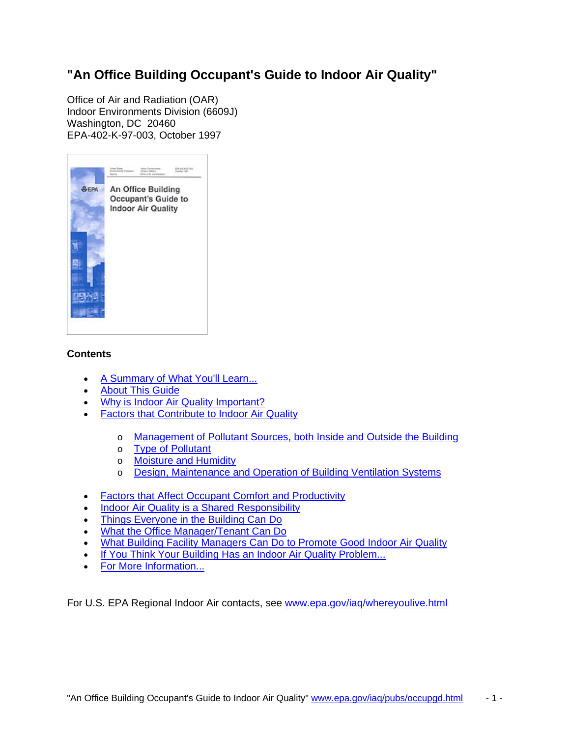# **"An Office Building Occupant's Guide to Indoor Air Quality"**

Office of Air and Radiation (OAR) Indoor Environments Division (6609J) Washington, DC 20460 EPA-402-K-97-003, October 1997



# **Contents**

- A Summary of What You'll Learn...
- About This Guide
- Why is Indoor Air Quality Important?
- Factors that Contribute to Indoor Air Quality
	- o Management of Pollutant Sources, both Inside and Outside the Building
	- o Type of Pollutant
	- o Moisture and Humidity
	- o Design, Maintenance and Operation of Building Ventilation Systems
- Factors that Affect Occupant Comfort and Productivity
- Indoor Air Quality is a Shared Responsibility
- Things Everyone in the Building Can Do
- What the Office Manager/Tenant Can Do
- What Building Facility Managers Can Do to Promote Good Indoor Air Quality
- If You Think Your Building Has an Indoor Air Quality Problem...
- For More Information...

For U.S. EPA Regional Indoor Air contacts, see www.epa.gov/iaq/whereyoulive.html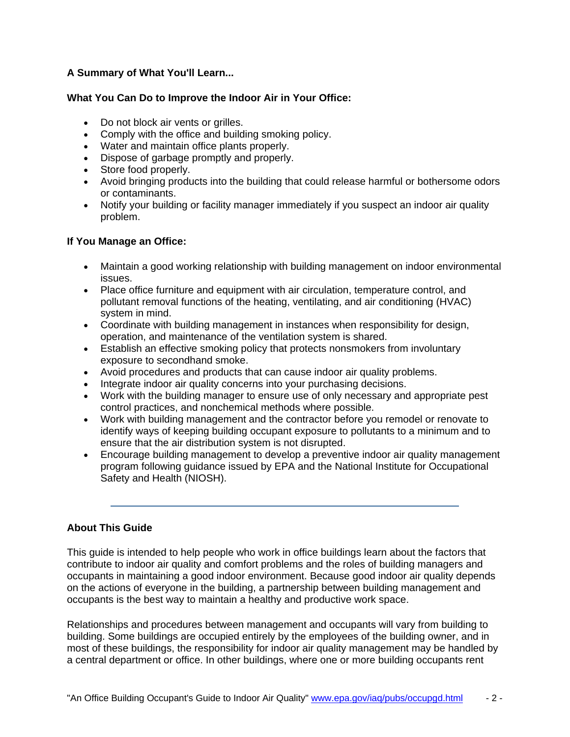# **A Summary of What You'll Learn...**

# **What You Can Do to Improve the Indoor Air in Your Office:**

- Do not block air vents or grilles.
- Comply with the office and building smoking policy.
- Water and maintain office plants properly.
- Dispose of garbage promptly and properly.
- Store food properly.
- Avoid bringing products into the building that could release harmful or bothersome odors or contaminants.
- Notify your building or facility manager immediately if you suspect an indoor air quality problem.

## **If You Manage an Office:**

- Maintain a good working relationship with building management on indoor environmental issues.
- Place office furniture and equipment with air circulation, temperature control, and pollutant removal functions of the heating, ventilating, and air conditioning (HVAC) system in mind.
- Coordinate with building management in instances when responsibility for design, operation, and maintenance of the ventilation system is shared.
- Establish an effective smoking policy that protects nonsmokers from involuntary exposure to secondhand smoke.
- Avoid procedures and products that can cause indoor air quality problems.
- Integrate indoor air quality concerns into your purchasing decisions.
- Work with the building manager to ensure use of only necessary and appropriate pest control practices, and nonchemical methods where possible.
- Work with building management and the contractor before you remodel or renovate to identify ways of keeping building occupant exposure to pollutants to a minimum and to ensure that the air distribution system is not disrupted.
- Encourage building management to develop a preventive indoor air quality management program following guidance issued by EPA and the National Institute for Occupational Safety and Health (NIOSH).

# **About This Guide**

This guide is intended to help people who work in office buildings learn about the factors that contribute to indoor air quality and comfort problems and the roles of building managers and occupants in maintaining a good indoor environment. Because good indoor air quality depends on the actions of everyone in the building, a partnership between building management and occupants is the best way to maintain a healthy and productive work space.

Relationships and procedures between management and occupants will vary from building to building. Some buildings are occupied entirely by the employees of the building owner, and in most of these buildings, the responsibility for indoor air quality management may be handled by a central department or office. In other buildings, where one or more building occupants rent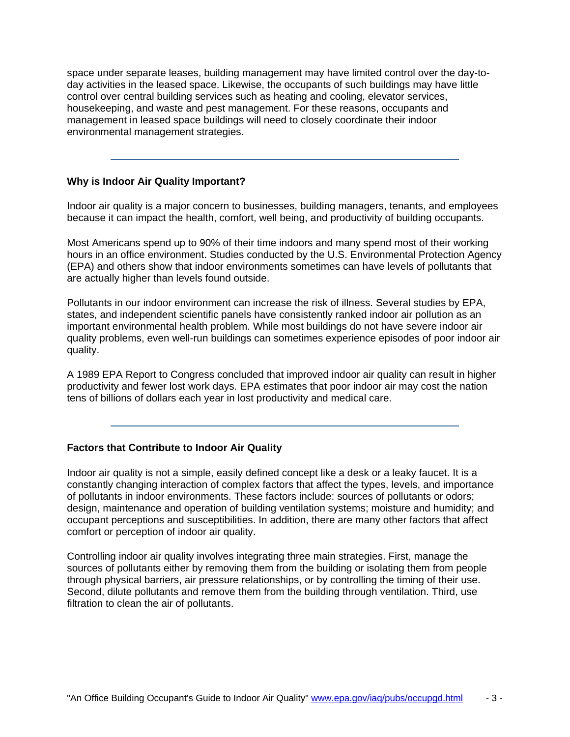space under separate leases, building management may have limited control over the day-today activities in the leased space. Likewise, the occupants of such buildings may have little control over central building services such as heating and cooling, elevator services, housekeeping, and waste and pest management. For these reasons, occupants and management in leased space buildings will need to closely coordinate their indoor environmental management strategies.

#### **Why is Indoor Air Quality Important?**

Indoor air quality is a major concern to businesses, building managers, tenants, and employees because it can impact the health, comfort, well being, and productivity of building occupants.

Most Americans spend up to 90% of their time indoors and many spend most of their working hours in an office environment. Studies conducted by the U.S. Environmental Protection Agency (EPA) and others show that indoor environments sometimes can have levels of pollutants that are actually higher than levels found outside.

Pollutants in our indoor environment can increase the risk of illness. Several studies by EPA, states, and independent scientific panels have consistently ranked indoor air pollution as an important environmental health problem. While most buildings do not have severe indoor air quality problems, even well-run buildings can sometimes experience episodes of poor indoor air quality.

A 1989 EPA Report to Congress concluded that improved indoor air quality can result in higher productivity and fewer lost work days. EPA estimates that poor indoor air may cost the nation tens of billions of dollars each year in lost productivity and medical care.

# **Factors that Contribute to Indoor Air Quality**

Indoor air quality is not a simple, easily defined concept like a desk or a leaky faucet. It is a constantly changing interaction of complex factors that affect the types, levels, and importance of pollutants in indoor environments. These factors include: sources of pollutants or odors; design, maintenance and operation of building ventilation systems; moisture and humidity; and occupant perceptions and susceptibilities. In addition, there are many other factors that affect comfort or perception of indoor air quality.

Controlling indoor air quality involves integrating three main strategies. First, manage the sources of pollutants either by removing them from the building or isolating them from people through physical barriers, air pressure relationships, or by controlling the timing of their use. Second, dilute pollutants and remove them from the building through ventilation. Third, use filtration to clean the air of pollutants.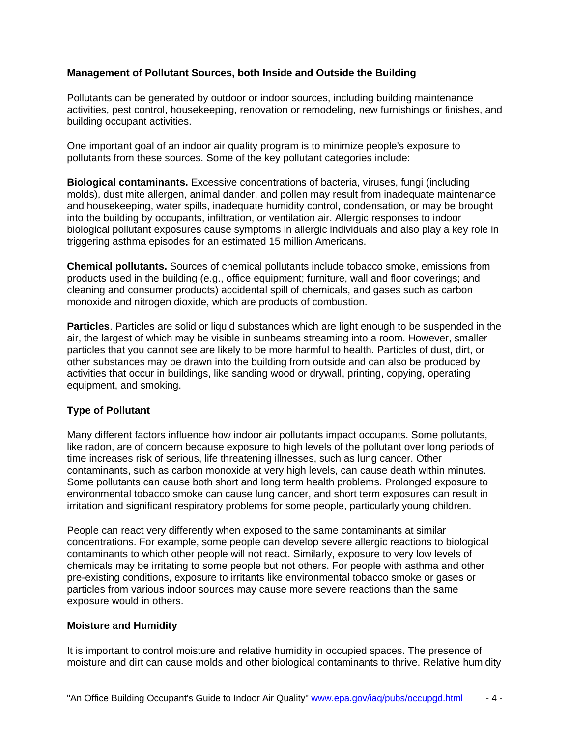# **Management of Pollutant Sources, both Inside and Outside the Building**

Pollutants can be generated by outdoor or indoor sources, including building maintenance activities, pest control, housekeeping, renovation or remodeling, new furnishings or finishes, and building occupant activities.

One important goal of an indoor air quality program is to minimize people's exposure to pollutants from these sources. Some of the key pollutant categories include:

**Biological contaminants.** Excessive concentrations of bacteria, viruses, fungi (including molds), dust mite allergen, animal dander, and pollen may result from inadequate maintenance and housekeeping, water spills, inadequate humidity control, condensation, or may be brought into the building by occupants, infiltration, or ventilation air. Allergic responses to indoor biological pollutant exposures cause symptoms in allergic individuals and also play a key role in triggering asthma episodes for an estimated 15 million Americans.

**Chemical pollutants.** Sources of chemical pollutants include tobacco smoke, emissions from products used in the building (e.g., office equipment; furniture, wall and floor coverings; and cleaning and consumer products) accidental spill of chemicals, and gases such as carbon monoxide and nitrogen dioxide, which are products of combustion.

**Particles**. Particles are solid or liquid substances which are light enough to be suspended in the air, the largest of which may be visible in sunbeams streaming into a room. However, smaller particles that you cannot see are likely to be more harmful to health. Particles of dust, dirt, or other substances may be drawn into the building from outside and can also be produced by activities that occur in buildings, like sanding wood or drywall, printing, copying, operating equipment, and smoking.

# **Type of Pollutant**

Many different factors influence how indoor air pollutants impact occupants. Some pollutants, like radon, are of concern because exposure to high levels of the pollutant over long periods of time increases risk of serious, life threatening illnesses, such as lung cancer. Other contaminants, such as carbon monoxide at very high levels, can cause death within minutes. Some pollutants can cause both short and long term health problems. Prolonged exposure to environmental tobacco smoke can cause lung cancer, and short term exposures can result in irritation and significant respiratory problems for some people, particularly young children.

People can react very differently when exposed to the same contaminants at similar concentrations. For example, some people can develop severe allergic reactions to biological contaminants to which other people will not react. Similarly, exposure to very low levels of chemicals may be irritating to some people but not others. For people with asthma and other pre-existing conditions, exposure to irritants like environmental tobacco smoke or gases or particles from various indoor sources may cause more severe reactions than the same exposure would in others.

#### **Moisture and Humidity**

It is important to control moisture and relative humidity in occupied spaces. The presence of moisture and dirt can cause molds and other biological contaminants to thrive. Relative humidity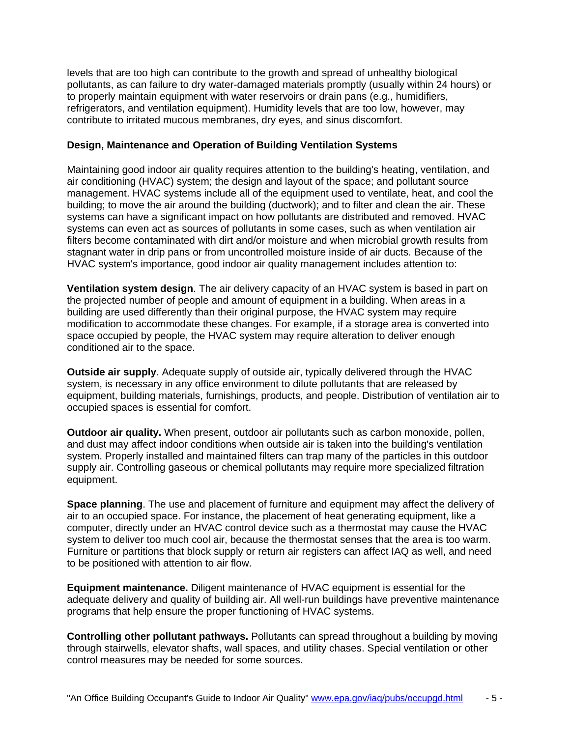levels that are too high can contribute to the growth and spread of unhealthy biological pollutants, as can failure to dry water-damaged materials promptly (usually within 24 hours) or to properly maintain equipment with water reservoirs or drain pans (e.g., humidifiers, refrigerators, and ventilation equipment). Humidity levels that are too low, however, may contribute to irritated mucous membranes, dry eyes, and sinus discomfort.

## **Design, Maintenance and Operation of Building Ventilation Systems**

Maintaining good indoor air quality requires attention to the building's heating, ventilation, and air conditioning (HVAC) system; the design and layout of the space; and pollutant source management. HVAC systems include all of the equipment used to ventilate, heat, and cool the building; to move the air around the building (ductwork); and to filter and clean the air. These systems can have a significant impact on how pollutants are distributed and removed. HVAC systems can even act as sources of pollutants in some cases, such as when ventilation air filters become contaminated with dirt and/or moisture and when microbial growth results from stagnant water in drip pans or from uncontrolled moisture inside of air ducts. Because of the HVAC system's importance, good indoor air quality management includes attention to:

**Ventilation system design**. The air delivery capacity of an HVAC system is based in part on the projected number of people and amount of equipment in a building. When areas in a building are used differently than their original purpose, the HVAC system may require modification to accommodate these changes. For example, if a storage area is converted into space occupied by people, the HVAC system may require alteration to deliver enough conditioned air to the space.

**Outside air supply**. Adequate supply of outside air, typically delivered through the HVAC system, is necessary in any office environment to dilute pollutants that are released by equipment, building materials, furnishings, products, and people. Distribution of ventilation air to occupied spaces is essential for comfort.

**Outdoor air quality.** When present, outdoor air pollutants such as carbon monoxide, pollen, and dust may affect indoor conditions when outside air is taken into the building's ventilation system. Properly installed and maintained filters can trap many of the particles in this outdoor supply air. Controlling gaseous or chemical pollutants may require more specialized filtration equipment.

**Space planning**. The use and placement of furniture and equipment may affect the delivery of air to an occupied space. For instance, the placement of heat generating equipment, like a computer, directly under an HVAC control device such as a thermostat may cause the HVAC system to deliver too much cool air, because the thermostat senses that the area is too warm. Furniture or partitions that block supply or return air registers can affect IAQ as well, and need to be positioned with attention to air flow.

**Equipment maintenance.** Diligent maintenance of HVAC equipment is essential for the adequate delivery and quality of building air. All well-run buildings have preventive maintenance programs that help ensure the proper functioning of HVAC systems.

**Controlling other pollutant pathways.** Pollutants can spread throughout a building by moving through stairwells, elevator shafts, wall spaces, and utility chases. Special ventilation or other control measures may be needed for some sources.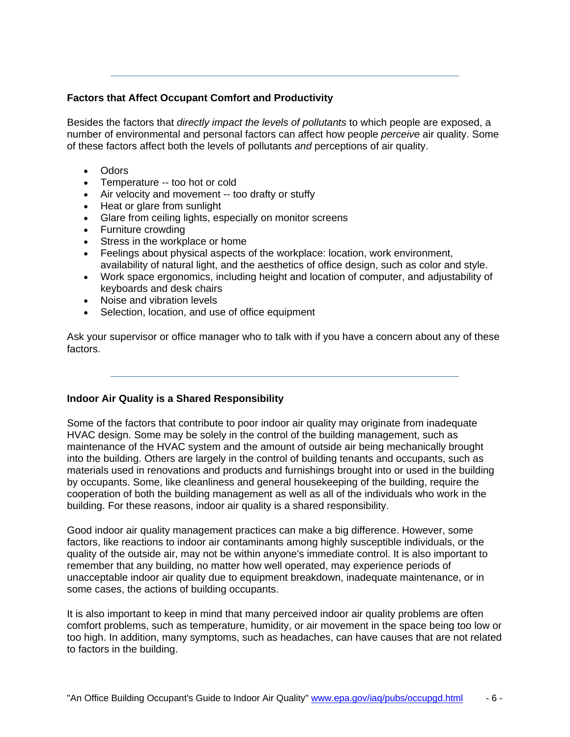## **Factors that Affect Occupant Comfort and Productivity**

Besides the factors that *directly impact the levels of pollutants* to which people are exposed, a number of environmental and personal factors can affect how people *perceive* air quality. Some of these factors affect both the levels of pollutants *and* perceptions of air quality.

- Odors
- Temperature -- too hot or cold
- Air velocity and movement -- too drafty or stuffy
- Heat or glare from sunlight
- Glare from ceiling lights, especially on monitor screens
- Furniture crowding
- Stress in the workplace or home
- Feelings about physical aspects of the workplace: location, work environment, availability of natural light, and the aesthetics of office design, such as color and style.
- Work space ergonomics, including height and location of computer, and adjustability of keyboards and desk chairs
- Noise and vibration levels
- Selection, location, and use of office equipment

Ask your supervisor or office manager who to talk with if you have a concern about any of these factors.

#### **Indoor Air Quality is a Shared Responsibility**

Some of the factors that contribute to poor indoor air quality may originate from inadequate HVAC design. Some may be solely in the control of the building management, such as maintenance of the HVAC system and the amount of outside air being mechanically brought into the building. Others are largely in the control of building tenants and occupants, such as materials used in renovations and products and furnishings brought into or used in the building by occupants. Some, like cleanliness and general housekeeping of the building, require the cooperation of both the building management as well as all of the individuals who work in the building. For these reasons, indoor air quality is a shared responsibility.

Good indoor air quality management practices can make a big difference. However, some factors, like reactions to indoor air contaminants among highly susceptible individuals, or the quality of the outside air, may not be within anyone's immediate control. It is also important to remember that any building, no matter how well operated, may experience periods of unacceptable indoor air quality due to equipment breakdown, inadequate maintenance, or in some cases, the actions of building occupants.

It is also important to keep in mind that many perceived indoor air quality problems are often comfort problems, such as temperature, humidity, or air movement in the space being too low or too high. In addition, many symptoms, such as headaches, can have causes that are not related to factors in the building.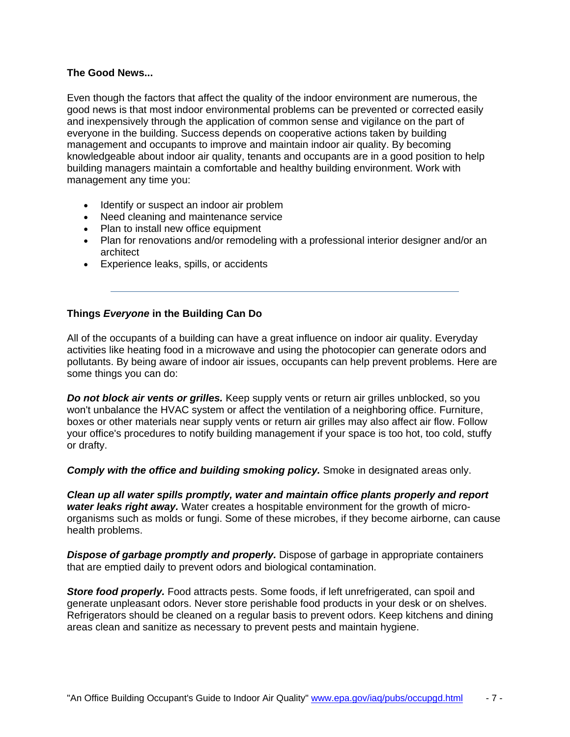## **The Good News...**

Even though the factors that affect the quality of the indoor environment are numerous, the good news is that most indoor environmental problems can be prevented or corrected easily and inexpensively through the application of common sense and vigilance on the part of everyone in the building. Success depends on cooperative actions taken by building management and occupants to improve and maintain indoor air quality. By becoming knowledgeable about indoor air quality, tenants and occupants are in a good position to help building managers maintain a comfortable and healthy building environment. Work with management any time you:

- Identify or suspect an indoor air problem
- Need cleaning and maintenance service
- Plan to install new office equipment
- Plan for renovations and/or remodeling with a professional interior designer and/or an architect
- Experience leaks, spills, or accidents

## **Things** *Everyone* **in the Building Can Do**

All of the occupants of a building can have a great influence on indoor air quality. Everyday activities like heating food in a microwave and using the photocopier can generate odors and pollutants. By being aware of indoor air issues, occupants can help prevent problems. Here are some things you can do:

*Do not block air vents or grilles.* Keep supply vents or return air grilles unblocked, so you won't unbalance the HVAC system or affect the ventilation of a neighboring office. Furniture, boxes or other materials near supply vents or return air grilles may also affect air flow. Follow your office's procedures to notify building management if your space is too hot, too cold, stuffy or drafty.

*Comply with the office and building smoking policy.* Smoke in designated areas only.

*Clean up all water spills promptly, water and maintain office plants properly and report water leaks right away.* Water creates a hospitable environment for the growth of microorganisms such as molds or fungi. Some of these microbes, if they become airborne, can cause health problems.

*Dispose of garbage promptly and properly.* Dispose of garbage in appropriate containers that are emptied daily to prevent odors and biological contamination.

**Store food properly.** Food attracts pests. Some foods, if left unrefrigerated, can spoil and generate unpleasant odors. Never store perishable food products in your desk or on shelves. Refrigerators should be cleaned on a regular basis to prevent odors. Keep kitchens and dining areas clean and sanitize as necessary to prevent pests and maintain hygiene.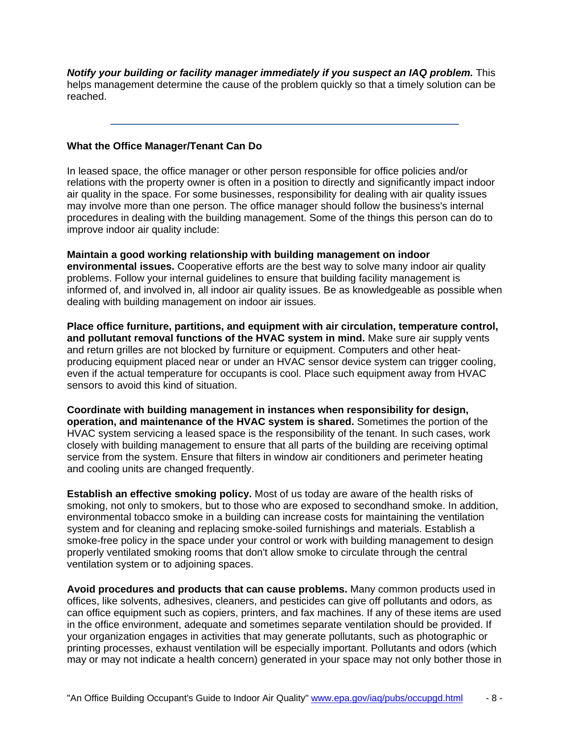*Notify your building or facility manager immediately if you suspect an IAQ problem.* This helps management determine the cause of the problem quickly so that a timely solution can be reached.

#### **What the Office Manager/Tenant Can Do**

In leased space, the office manager or other person responsible for office policies and/or relations with the property owner is often in a position to directly and significantly impact indoor air quality in the space. For some businesses, responsibility for dealing with air quality issues may involve more than one person. The office manager should follow the business's internal procedures in dealing with the building management. Some of the things this person can do to improve indoor air quality include:

**Maintain a good working relationship with building management on indoor environmental issues.** Cooperative efforts are the best way to solve many indoor air quality problems. Follow your internal guidelines to ensure that building facility management is informed of, and involved in, all indoor air quality issues. Be as knowledgeable as possible when dealing with building management on indoor air issues.

**Place office furniture, partitions, and equipment with air circulation, temperature control, and pollutant removal functions of the HVAC system in mind.** Make sure air supply vents and return grilles are not blocked by furniture or equipment. Computers and other heatproducing equipment placed near or under an HVAC sensor device system can trigger cooling, even if the actual temperature for occupants is cool. Place such equipment away from HVAC sensors to avoid this kind of situation.

**Coordinate with building management in instances when responsibility for design, operation, and maintenance of the HVAC system is shared.** Sometimes the portion of the HVAC system servicing a leased space is the responsibility of the tenant. In such cases, work closely with building management to ensure that all parts of the building are receiving optimal service from the system. Ensure that filters in window air conditioners and perimeter heating and cooling units are changed frequently.

**Establish an effective smoking policy.** Most of us today are aware of the health risks of smoking, not only to smokers, but to those who are exposed to secondhand smoke. In addition, environmental tobacco smoke in a building can increase costs for maintaining the ventilation system and for cleaning and replacing smoke-soiled furnishings and materials. Establish a smoke-free policy in the space under your control or work with building management to design properly ventilated smoking rooms that don't allow smoke to circulate through the central ventilation system or to adjoining spaces.

**Avoid procedures and products that can cause problems.** Many common products used in offices, like solvents, adhesives, cleaners, and pesticides can give off pollutants and odors, as can office equipment such as copiers, printers, and fax machines. If any of these items are used in the office environment, adequate and sometimes separate ventilation should be provided. If your organization engages in activities that may generate pollutants, such as photographic or printing processes, exhaust ventilation will be especially important. Pollutants and odors (which may or may not indicate a health concern) generated in your space may not only bother those in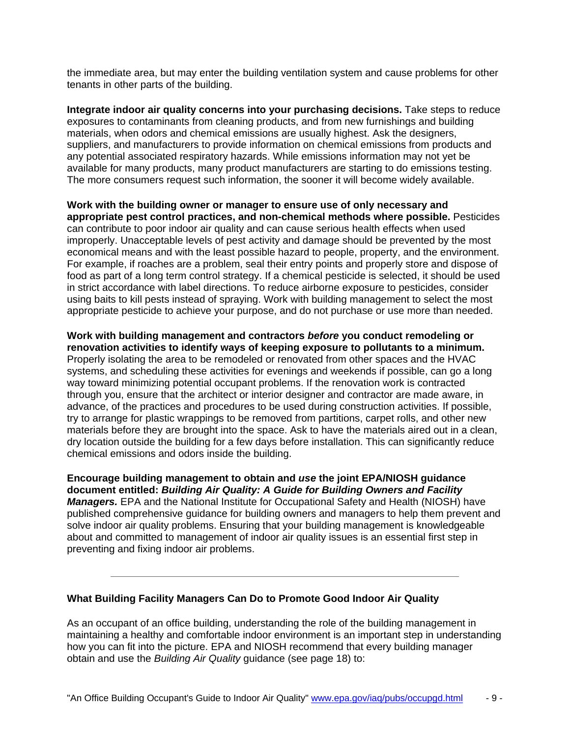the immediate area, but may enter the building ventilation system and cause problems for other tenants in other parts of the building.

**Integrate indoor air quality concerns into your purchasing decisions.** Take steps to reduce exposures to contaminants from cleaning products, and from new furnishings and building materials, when odors and chemical emissions are usually highest. Ask the designers, suppliers, and manufacturers to provide information on chemical emissions from products and any potential associated respiratory hazards. While emissions information may not yet be available for many products, many product manufacturers are starting to do emissions testing. The more consumers request such information, the sooner it will become widely available.

**Work with the building owner or manager to ensure use of only necessary and appropriate pest control practices, and non-chemical methods where possible.** Pesticides can contribute to poor indoor air quality and can cause serious health effects when used improperly. Unacceptable levels of pest activity and damage should be prevented by the most economical means and with the least possible hazard to people, property, and the environment. For example, if roaches are a problem, seal their entry points and properly store and dispose of food as part of a long term control strategy. If a chemical pesticide is selected, it should be used in strict accordance with label directions. To reduce airborne exposure to pesticides, consider using baits to kill pests instead of spraying. Work with building management to select the most appropriate pesticide to achieve your purpose, and do not purchase or use more than needed.

**Work with building management and contractors** *before* **you conduct remodeling or renovation activities to identify ways of keeping exposure to pollutants to a minimum.** Properly isolating the area to be remodeled or renovated from other spaces and the HVAC systems, and scheduling these activities for evenings and weekends if possible, can go a long way toward minimizing potential occupant problems. If the renovation work is contracted through you, ensure that the architect or interior designer and contractor are made aware, in advance, of the practices and procedures to be used during construction activities. If possible, try to arrange for plastic wrappings to be removed from partitions, carpet rolls, and other new materials before they are brought into the space. Ask to have the materials aired out in a clean, dry location outside the building for a few days before installation. This can significantly reduce chemical emissions and odors inside the building.

**Encourage building management to obtain and** *use* **the joint EPA/NIOSH guidance document entitled:** *Building Air Quality: A Guide for Building Owners and Facility Managers.* EPA and the National Institute for Occupational Safety and Health (NIOSH) have published comprehensive guidance for building owners and managers to help them prevent and solve indoor air quality problems. Ensuring that your building management is knowledgeable about and committed to management of indoor air quality issues is an essential first step in preventing and fixing indoor air problems.

## **What Building Facility Managers Can Do to Promote Good Indoor Air Quality**

As an occupant of an office building, understanding the role of the building management in maintaining a healthy and comfortable indoor environment is an important step in understanding how you can fit into the picture. EPA and NIOSH recommend that every building manager obtain and use the *Building Air Quality* guidance (see page 18) to: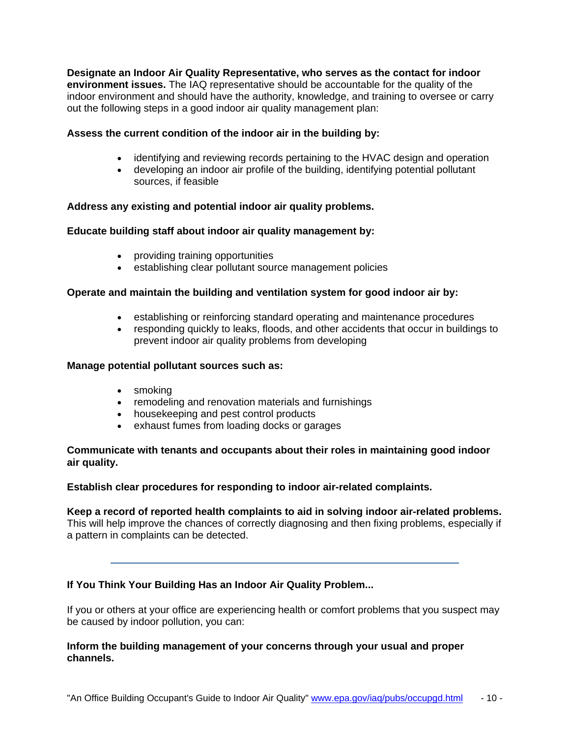**Designate an Indoor Air Quality Representative, who serves as the contact for indoor environment issues.** The IAQ representative should be accountable for the quality of the indoor environment and should have the authority, knowledge, and training to oversee or carry out the following steps in a good indoor air quality management plan:

## **Assess the current condition of the indoor air in the building by:**

- identifying and reviewing records pertaining to the HVAC design and operation
- developing an indoor air profile of the building, identifying potential pollutant sources, if feasible

## **Address any existing and potential indoor air quality problems.**

#### **Educate building staff about indoor air quality management by:**

- providing training opportunities
- establishing clear pollutant source management policies

## **Operate and maintain the building and ventilation system for good indoor air by:**

- establishing or reinforcing standard operating and maintenance procedures
- responding quickly to leaks, floods, and other accidents that occur in buildings to prevent indoor air quality problems from developing

#### **Manage potential pollutant sources such as:**

- smoking
- remodeling and renovation materials and furnishings
- housekeeping and pest control products
- exhaust fumes from loading docks or garages

## **Communicate with tenants and occupants about their roles in maintaining good indoor air quality.**

#### **Establish clear procedures for responding to indoor air-related complaints.**

**Keep a record of reported health complaints to aid in solving indoor air-related problems.** This will help improve the chances of correctly diagnosing and then fixing problems, especially if a pattern in complaints can be detected.

#### **If You Think Your Building Has an Indoor Air Quality Problem...**

If you or others at your office are experiencing health or comfort problems that you suspect may be caused by indoor pollution, you can:

## **Inform the building management of your concerns through your usual and proper channels.**